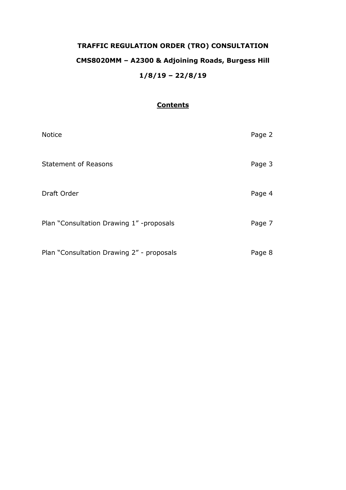# **TRAFFIC REGULATION ORDER (TRO) CONSULTATION CMS8020MM – A2300 & Adjoining Roads, Burgess Hill 1/8/19 – 22/8/19**

# **Contents**

| <b>Notice</b>                             | Page 2 |
|-------------------------------------------|--------|
| <b>Statement of Reasons</b>               | Page 3 |
| Draft Order                               | Page 4 |
| Plan "Consultation Drawing 1" -proposals  | Page 7 |
| Plan "Consultation Drawing 2" - proposals | Page 8 |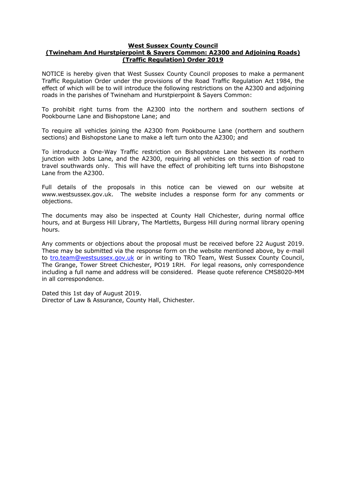#### **West Sussex County Council**

## **(Twineham And Hurstpierpoint & Sayers Common: A2300 and Adjoining Roads) (Traffic Regulation) Order 2019**

NOTICE is hereby given that West Sussex County Council proposes to make a permanent Traffic Regulation Order under the provisions of the Road Traffic Regulation Act 1984, the effect of which will be to will introduce the following restrictions on the A2300 and adjoining roads in the parishes of Twineham and Hurstpierpoint & Sayers Common:

To prohibit right turns from the A2300 into the northern and southern sections of Pookbourne Lane and Bishopstone Lane; and

To require all vehicles joining the A2300 from Pookbourne Lane (northern and southern sections) and Bishopstone Lane to make a left turn onto the A2300; and

To introduce a One-Way Traffic restriction on Bishopstone Lane between its northern junction with Jobs Lane, and the A2300, requiring all vehicles on this section of road to travel southwards only. This will have the effect of prohibiting left turns into Bishopstone Lane from the A2300.

Full details of the proposals in this notice can be viewed on our website at www.westsussex.gov.uk. The website includes a response form for any comments or objections.

The documents may also be inspected at County Hall Chichester, during normal office hours, and at Burgess Hill Library, The Martletts, Burgess Hill during normal library opening hours.

Any comments or objections about the proposal must be received before 22 August 2019. These may be submitted via the response form on the website mentioned above, by e-mail to [tro.team@westsussex.gov.uk](mailto:tro.team@westsussex.gov.uk) or in writing to TRO Team, West Sussex County Council, The Grange, Tower Street Chichester, PO19 1RH. For legal reasons, only correspondence including a full name and address will be considered. Please quote reference CMS8020-MM in all correspondence.

Dated this 1st day of August 2019. Director of Law & Assurance, County Hall, Chichester.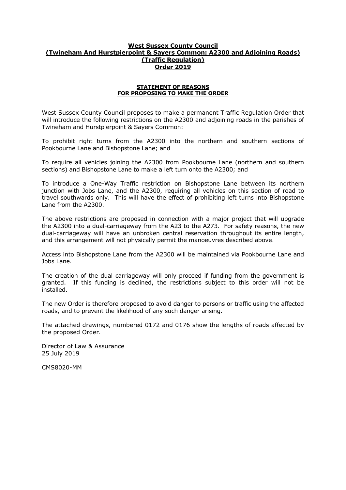### **West Sussex County Council (Twineham And Hurstpierpoint & Sayers Common: A2300 and Adjoining Roads) (Traffic Regulation) Order 2019**

#### **STATEMENT OF REASONS FOR PROPOSING TO MAKE THE ORDER**

West Sussex County Council proposes to make a permanent Traffic Regulation Order that will introduce the following restrictions on the A2300 and adjoining roads in the parishes of Twineham and Hurstpierpoint & Sayers Common:

To prohibit right turns from the A2300 into the northern and southern sections of Pookbourne Lane and Bishopstone Lane; and

To require all vehicles joining the A2300 from Pookbourne Lane (northern and southern sections) and Bishopstone Lane to make a left turn onto the A2300; and

To introduce a One-Way Traffic restriction on Bishopstone Lane between its northern junction with Jobs Lane, and the A2300, requiring all vehicles on this section of road to travel southwards only. This will have the effect of prohibiting left turns into Bishopstone Lane from the A2300.

The above restrictions are proposed in connection with a major project that will upgrade the A2300 into a dual-carriageway from the A23 to the A273. For safety reasons, the new dual-carriageway will have an unbroken central reservation throughout its entire length, and this arrangement will not physically permit the manoeuvres described above.

Access into Bishopstone Lane from the A2300 will be maintained via Pookbourne Lane and Jobs Lane.

The creation of the dual carriageway will only proceed if funding from the government is granted. If this funding is declined, the restrictions subject to this order will not be installed.

The new Order is therefore proposed to avoid danger to persons or traffic using the affected roads, and to prevent the likelihood of any such danger arising.

The attached drawings, numbered 0172 and 0176 show the lengths of roads affected by the proposed Order.

Director of Law & Assurance 25 July 2019

CMS8020-MM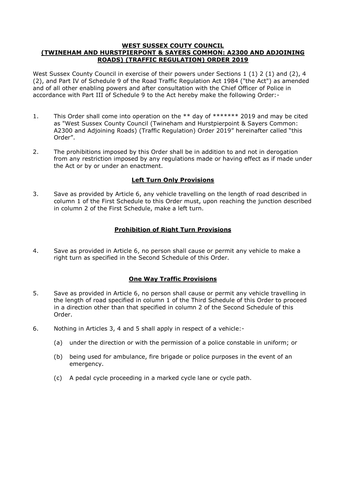### **WEST SUSSEX COUTY COUNCIL (TWINEHAM AND HURSTPIERPONT & SAYERS COMMON: A2300 AND ADJOINING ROADS) (TRAFFIC REGULATION) ORDER 2019**

West Sussex County Council in exercise of their powers under Sections 1 (1) 2 (1) and (2), 4 (2), and Part IV of Schedule 9 of the Road Traffic Regulation Act 1984 ("the Act") as amended and of all other enabling powers and after consultation with the Chief Officer of Police in accordance with Part III of Schedule 9 to the Act hereby make the following Order:-

- 1. This Order shall come into operation on the \*\* day of \*\*\*\*\*\*\* 2019 and may be cited as "West Sussex County Council (Twineham and Hurstpierpoint & Sayers Common: A2300 and Adjoining Roads) (Traffic Regulation) Order 2019" hereinafter called "this Order".
- 2. The prohibitions imposed by this Order shall be in addition to and not in derogation from any restriction imposed by any regulations made or having effect as if made under the Act or by or under an enactment.

## **Left Turn Only Provisions**

3. Save as provided by Article 6, any vehicle travelling on the length of road described in column 1 of the First Schedule to this Order must, upon reaching the junction described in column 2 of the First Schedule, make a left turn.

## **Prohibition of Right Turn Provisions**

4. Save as provided in Article 6, no person shall cause or permit any vehicle to make a right turn as specified in the Second Schedule of this Order.

## **One Way Traffic Provisions**

- 5. Save as provided in Article 6, no person shall cause or permit any vehicle travelling in the length of road specified in column 1 of the Third Schedule of this Order to proceed in a direction other than that specified in column 2 of the Second Schedule of this Order.
- 6. Nothing in Articles 3, 4 and 5 shall apply in respect of a vehicle:-
	- (a) under the direction or with the permission of a police constable in uniform; or
	- (b) being used for ambulance, fire brigade or police purposes in the event of an emergency.
	- (c) A pedal cycle proceeding in a marked cycle lane or cycle path.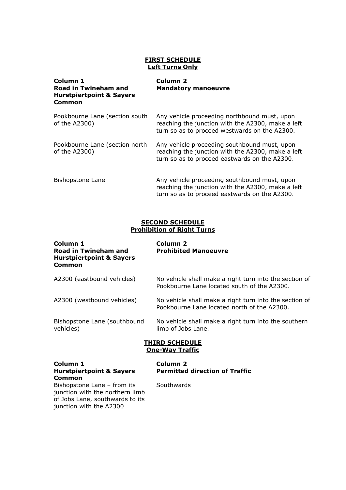## **FIRST SCHEDULE Left Turns Only**

| Column 1<br><b>Road in Twineham and</b><br><b>Hurstpiertpoint &amp; Sayers</b><br>Common | <b>Column 2</b><br><b>Mandatory manoeuvre</b>                                                                                                      |
|------------------------------------------------------------------------------------------|----------------------------------------------------------------------------------------------------------------------------------------------------|
| Pookbourne Lane (section south<br>of the A2300)                                          | Any vehicle proceeding northbound must, upon<br>reaching the junction with the A2300, make a left<br>turn so as to proceed westwards on the A2300. |
| Pookbourne Lane (section north<br>of the A2300)                                          | Any vehicle proceeding southbound must, upon<br>reaching the junction with the A2300, make a left<br>turn so as to proceed eastwards on the A2300. |
| Bishopstone Lane                                                                         | Any vehicle proceeding southbound must, upon<br>reaching the junction with the A2300, make a left<br>turn so as to proceed eastwards on the A2300. |

## **SECOND SCHEDULE Prohibition of Right Turns**

| Column 1<br>Road in Twineham and<br><b>Hurstpiertpoint &amp; Sayers</b><br>Common | Column <sub>2</sub><br><b>Prohibited Manoeuvre</b>                                                    |
|-----------------------------------------------------------------------------------|-------------------------------------------------------------------------------------------------------|
| A2300 (eastbound vehicles)                                                        | No vehicle shall make a right turn into the section of<br>Pookbourne Lane located south of the A2300. |
| A2300 (westbound vehicles)                                                        | No vehicle shall make a right turn into the section of<br>Pookbourne Lane located north of the A2300. |
| Bishopstone Lane (southbound<br>vehicles)                                         | No vehicle shall make a right turn into the southern<br>limb of Jobs Lane.                            |
|                                                                                   | <b>THIRD SCHEDULE</b><br><b>One-Way Traffic</b>                                                       |
| Column 1<br><b>Hurstpiertpoint &amp; Sayers</b><br>Common                         | <b>Column 2</b><br><b>Permitted direction of Traffic</b>                                              |
|                                                                                   |                                                                                                       |

Bishopstone Lane – from its junction with the northern limb of Jobs Lane, southwards to its junction with the A2300

**Southwards**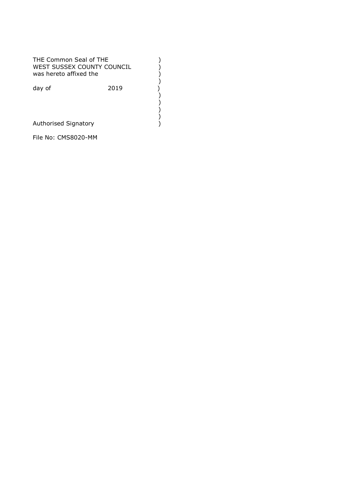THE Common Seal of THE<br>
WEST SUSSEX COUNTY COUNCIL ()<br>
was hereto affixed the ()<br>
day of (2019)<br>
()<br>
()<br>
Authorised Signatory () WEST SUSSEX COUNTY COUNCIL was hereto affixed the ) day of 2019 ) ) ) ) Authorised Signatory )

File No: CMS8020-MM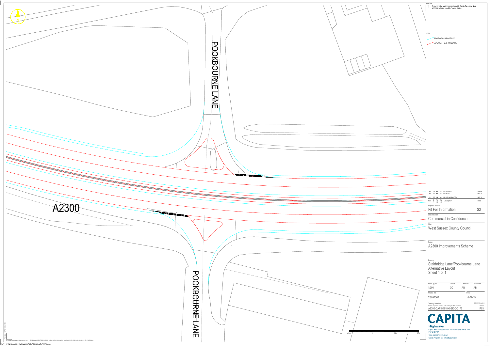